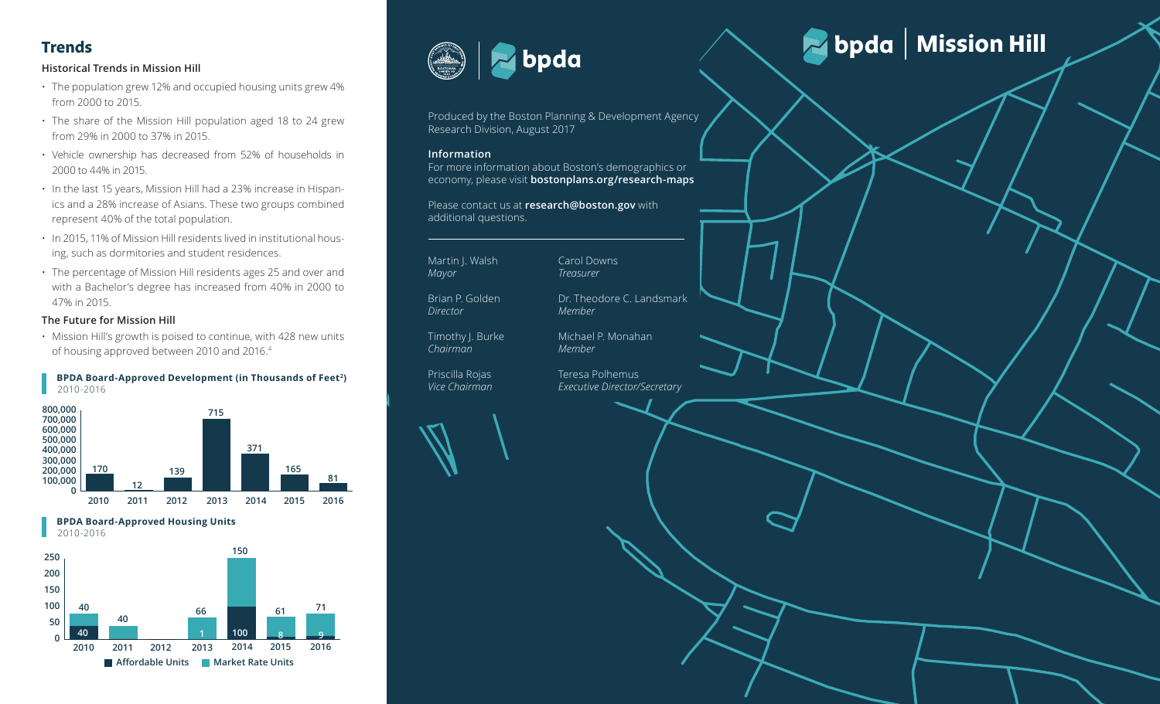#### **Historical Trends in Mission Hill**

- The population grew 12% and occupied housing units grew 4% from 2000 to 2015.
- The share of the Mission Hill population aged 18 to 24 grew from 29% in 2000 to 37% in 2015.
- Vehicle ownership has decreased from 52% of households in 2000 to 44% in 2015.
- In the last 15 years, Mission Hill had a 23% increase in Hispan ics and a 28% increase of Asians. These two groups combined represent 40% of the total population.
- **37% 38% 25%** ing, such as dormitories and student residences. • In 2015, 11% of Mission Hill residents lived in institutional hous -
- 015, 11% of Mission Hill residents lived in institutional hous-<br>
such as dormitories and student residences.<br>
percentage of Mission Hill residents ages 25 and over and<br>
a Bachelor's degree has increased from 40% in 2000 to In 2015, 11% of Mission Hill residents lived in institutional hous-<br>ng, such as dormitories and student residences.<br>The percentage of Mission Hill residents ages 25 and over and<br>with a Bachelor's degree has increased from **37% 38% 25%** • The percentage of Mission Hill residents ages 25 and over and with a Bachelor's degree has increased from 40% in 2000 to 47% in 2015.

#### **The Future for Mission Hill**

of housing approved between 2010 and 2016.<sup>4</sup> • Mission Hill's growth is poised to continue, with 428 new units

#### **BPDA Board-Approved Development (in Thousands of Feet 2 )** 2010-2016



 **BPDA Board-Approved Housing Units** 2010-2016





Produced by the Boston Planning & Development Agency Research Division, August 2017

#### **Information**

For more information about Boston's demographics or economy, please visit **bostonplans.org/research-maps**

Please contact us at **research@boston.gov** with additional questions.

Martin J. Walsh *Mayor* Brian P. Golden

*Director*

*Chairman*

Dr. Theodore C. Landsmark *Member*

Teresa Polhemus

*Executive Director/Secretary*

Carol Downs *Treasurer*

Timothy J. Burke Michael P. Monahan *Member*

Priscilla Rojas *Vice Chairman* 



# Trends<br>**Trends Mission Hill**<br>Historical Trends in Mission Hill